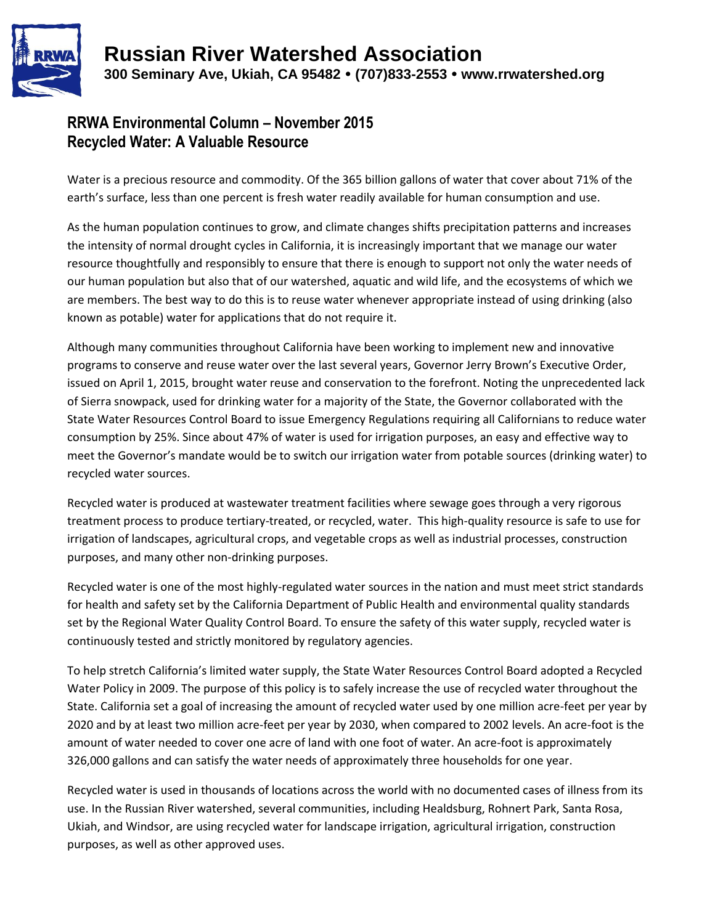

## **Russian River Watershed Association 300 Seminary Ave, Ukiah, CA 95482 (707)833-2553 www.rrwatershed.org**

## **RRWA Environmental Column – November 2015 Recycled Water: A Valuable Resource**

Water is a precious resource and commodity. Of the 365 billion gallons of water that cover about 71% of the earth's surface, less than one percent is fresh water readily available for human consumption and use.

As the human population continues to grow, and climate changes shifts precipitation patterns and increases the intensity of normal drought cycles in California, it is increasingly important that we manage our water resource thoughtfully and responsibly to ensure that there is enough to support not only the water needs of our human population but also that of our watershed, aquatic and wild life, and the ecosystems of which we are members. The best way to do this is to reuse water whenever appropriate instead of using drinking (also known as potable) water for applications that do not require it.

Although many communities throughout California have been working to implement new and innovative programs to conserve and reuse water over the last several years, Governor Jerry Brown's Executive Order, issued on April 1, 2015, brought water reuse and conservation to the forefront. Noting the unprecedented lack of Sierra snowpack, used for drinking water for a majority of the State, the Governor collaborated with the State Water Resources Control Board to issue Emergency Regulations requiring all Californians to reduce water consumption by 25%. Since about 47% of water is used for irrigation purposes, an easy and effective way to meet the Governor's mandate would be to switch our irrigation water from potable sources (drinking water) to recycled water sources.

Recycled water is produced at wastewater treatment facilities where sewage goes through a very rigorous treatment process to produce tertiary-treated, or recycled, water. This high-quality resource is safe to use for irrigation of landscapes, agricultural crops, and vegetable crops as well as industrial processes, construction purposes, and many other non-drinking purposes.

Recycled water is one of the most highly-regulated water sources in the nation and must meet strict standards for health and safety set by the California Department of Public Health and environmental quality standards set by the Regional Water Quality Control Board. To ensure the safety of this water supply, recycled water is continuously tested and strictly monitored by regulatory agencies.

To help stretch California's limited water supply, the State Water Resources Control Board adopted a Recycled Water Policy in 2009. The purpose of this policy is to safely increase the use of recycled water throughout the State. California set a goal of increasing the amount of recycled water used by one million acre-feet per year by 2020 and by at least two million acre-feet per year by 2030, when compared to 2002 levels. An acre-foot is the amount of water needed to cover one acre of land with one foot of water. An acre-foot is approximately 326,000 gallons and can satisfy the water needs of approximately three households for one year.

Recycled water is used in thousands of locations across the world with no documented cases of illness from its use. In the Russian River watershed, several communities, including Healdsburg, Rohnert Park, Santa Rosa, Ukiah, and Windsor, are using recycled water for landscape irrigation, agricultural irrigation, construction purposes, as well as other approved uses.